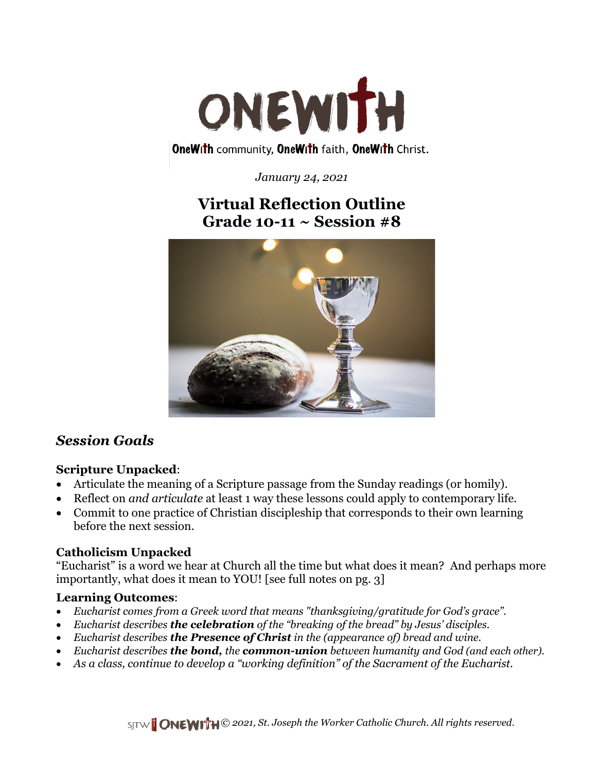

### **OneWith community, OneWith faith, OneWith Christ.**

*January 24, 2021*

# **Virtual Reflection Outline Grade 10-11 ~ Session #8**



## *Session Goals*

### **Scripture Unpacked**:

- Articulate the meaning of a Scripture passage from the Sunday readings (or homily).
- Reflect on *and articulate* at least 1 way these lessons could apply to contemporary life.
- Commit to one practice of Christian discipleship that corresponds to their own learning before the next session.

### **Catholicism Unpacked**

"Eucharist" is a word we hear at Church all the time but what does it mean? And perhaps more importantly, what does it mean to YOU! [see full notes on pg. 3]

### **Learning Outcomes**:

- *Eucharist comes from a Greek word that means "thanksgiving/gratitude for God's grace".*
- *Eucharist describes the celebration of the "breaking of the bread" by Jesus' disciples.*
- *Eucharist describes the Presence of Christ in the (appearance of) bread and wine.*
- *Eucharist describes the bond, the common-union between humanity and God (and each other).*
- *As a class, continue to develop a "working definition" of the Sacrament of the Eucharist.*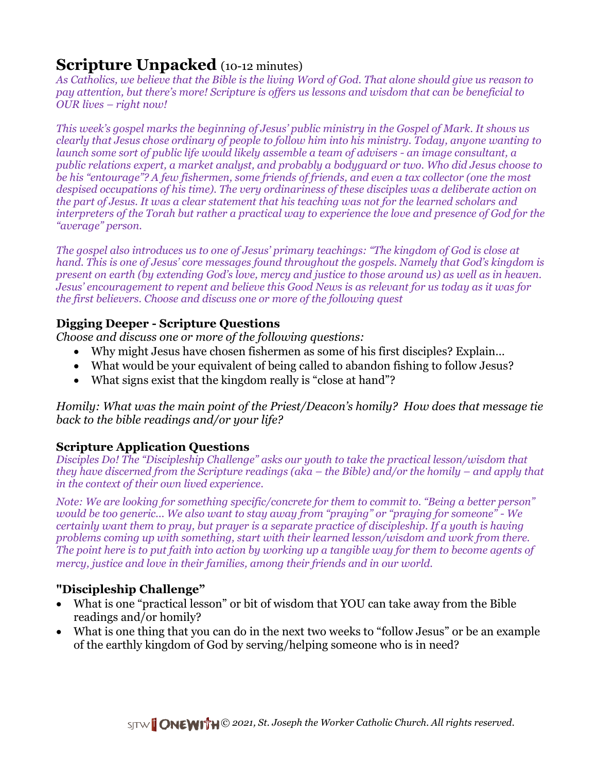# **Scripture Unpacked** (10-12 minutes)

*As Catholics, we believe that the Bible is the living Word of God. That alone should give us reason to pay attention, but there's more! Scripture is offers us lessons and wisdom that can be beneficial to OUR lives – right now!* 

*This week's gospel marks the beginning of Jesus' public ministry in the Gospel of Mark. It shows us clearly that Jesus chose ordinary of people to follow him into his ministry. Today, anyone wanting to launch some sort of public life would likely assemble a team of advisers - an image consultant, a public relations expert, a market analyst, and probably a bodyguard or two. Who did Jesus choose to be his "entourage"? A few fishermen, some friends of friends, and even a tax collector (one the most despised occupations of his time). The very ordinariness of these disciples was a deliberate action on the part of Jesus. It was a clear statement that his teaching was not for the learned scholars and interpreters of the Torah but rather a practical way to experience the love and presence of God for the "average" person.* 

*The gospel also introduces us to one of Jesus' primary teachings: "The kingdom of God is close at hand. This is one of Jesus' core messages found throughout the gospels. Namely that God's kingdom is present on earth (by extending God's love, mercy and justice to those around us) as well as in heaven. Jesus' encouragement to repent and believe this Good News is as relevant for us today as it was for the first believers. Choose and discuss one or more of the following quest*

### **Digging Deeper - Scripture Questions**

*Choose and discuss one or more of the following questions:* 

- Why might Jesus have chosen fishermen as some of his first disciples? Explain...
- What would be your equivalent of being called to abandon fishing to follow Jesus?
- What signs exist that the kingdom really is "close at hand"?

*Homily: What was the main point of the Priest/Deacon's homily? How does that message tie back to the bible readings and/or your life?*

### **Scripture Application Questions**

*Disciples Do! The "Discipleship Challenge" asks our youth to take the practical lesson/wisdom that they have discerned from the Scripture readings (aka – the Bible) and/or the homily – and apply that in the context of their own lived experience.*

*Note: We are looking for something specific/concrete for them to commit to. "Being a better person" would be too generic... We also want to stay away from "praying" or "praying for someone" - We certainly want them to pray, but prayer is a separate practice of discipleship. If a youth is having problems coming up with something, start with their learned lesson/wisdom and work from there. The point here is to put faith into action by working up a tangible way for them to become agents of mercy, justice and love in their families, among their friends and in our world.*

### **"Discipleship Challenge"**

- What is one "practical lesson" or bit of wisdom that YOU can take away from the Bible readings and/or homily?
- What is one thing that you can do in the next two weeks to "follow Jesus" or be an example of the earthly kingdom of God by serving/helping someone who is in need?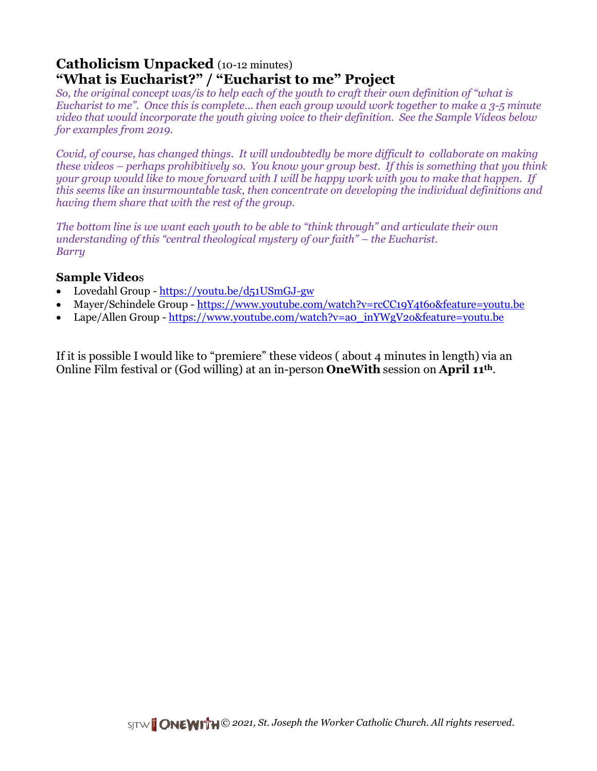## **Catholicism Unpacked** (10-12 minutes) **"What is Eucharist?" / "Eucharist to me" Project**

*So, the original concept was/is to help each of the youth to craft their own definition of "what is Eucharist to me". Once this is complete… then each group would work together to make a 3-5 minute video that would incorporate the youth giving voice to their definition. See the Sample Videos below for examples from 2019.*

*Covid, of course, has changed things. It will undoubtedly be more difficult to collaborate on making these videos – perhaps prohibitively so. You know your group best. If this is something that you think your group would like to move forward with I will be happy work with you to make that happen. If this seems like an insurmountable task, then concentrate on developing the individual definitions and having them share that with the rest of the group.*

*The bottom line is we want each youth to be able to "think through" and articulate their own understanding of this "central theological mystery of our faith" – the Eucharist. Barry*

#### **[Sample Video](https://www.youtube.com/watch?v=NoADf5rbmbY&t=)**s

- Lovedahl Group <https://youtu.be/d51USmGJ-gw>
- Mayer/Schindele Group <https://www.youtube.com/watch?v=rcCC19Y4t6o&feature=youtu.be>
- Lape/Allen Group [https://www.youtube.com/watch?v=a0\\_inYWgV2o&feature=youtu.be](https://www.youtube.com/watch?v=a0_inYWgV2o&feature=youtu.be)

If it is possible I would like to "premiere" these videos ( about 4 minutes in length) via an Online Film festival or (God willing) at an in-person **OneWith** session on **April 11 th**.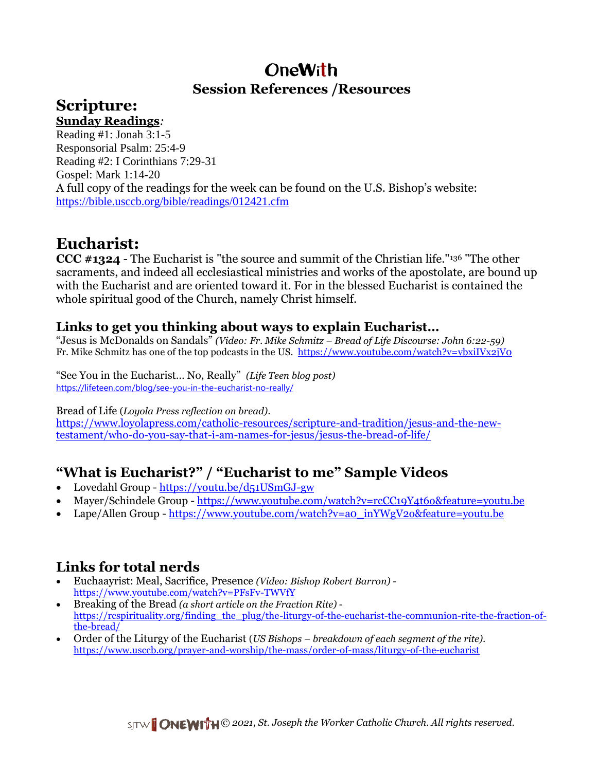# **OneWith Session References /Resources**

#### **Scripture: Sunday Readings***:*

Reading #1: Jonah 3:1-5 Responsorial Psalm: 25:4-9 Reading #2: I Corinthians 7:29-31 Gospel: Mark 1:14-20 A full copy of the readings for the week can be found on the U.S. Bishop's website: <https://bible.usccb.org/bible/readings/012421.cfm>

# **Eucharist:**

**CCC #1324** - The Eucharist is "the source and summit of the Christian life."<sup>136</sup> "The other sacraments, and indeed all ecclesiastical ministries and works of the apostolate, are bound up with the Eucharist and are oriented toward it. For in the blessed Eucharist is contained the whole spiritual good of the Church, namely Christ himself.

### **Links to get you thinking about ways to explain Eucharist…**

["Jesus is McDonalds on Sandals"](https://www.youtube.com/watch?v=vbxiIVx2jV0) *(Video: Fr. Mike Schmitz – Bread of Life Discourse: John 6:22-59)* Fr. Mike Schmitz has one of the top podcasts in the US.<https://www.youtube.com/watch?v=vbxiIVx2jV0>

["See You in the Eucharist… No, Really"](https://lifeteen.com/blog/see-you-in-the-eucharist-no-really/) *(Life Teen blog post)* <https://lifeteen.com/blog/see-you-in-the-eucharist-no-really/>

[Bread of Life](https://www.loyolapress.com/our-catholic-faith/scripture-and-tradition/jesus-and-the-new-testament/who-do-you-say-that-i-am-names-for-jesus/jesus-the-bread-of-life) (*Loyola Press reflection on bread).*

[https://www.loyolapress.com/catholic-resources/scripture-and-tradition/jesus-and-the-new](https://www.loyolapress.com/catholic-resources/scripture-and-tradition/jesus-and-the-new-testament/who-do-you-say-that-i-am-names-for-jesus/jesus-the-bread-of-life/)[testament/who-do-you-say-that-i-am-names-for-jesus/jesus-the-bread-of-life/](https://www.loyolapress.com/catholic-resources/scripture-and-tradition/jesus-and-the-new-testament/who-do-you-say-that-i-am-names-for-jesus/jesus-the-bread-of-life/)

## **"What is Eucharist?" / "Eucharist to me" Sample Videos**

- Lovedahl Group <https://youtu.be/d51USmGJ-gw>
- Mayer/Schindele Group https://www.youtube.com/watch?v=rcCC19Y4t6o&feature=voutu.be
- Lape/Allen Group [https://www.youtube.com/watch?v=a0\\_inYWgV2o&feature=youtu.be](https://www.youtube.com/watch?v=a0_inYWgV2o&feature=youtu.be)

## **Links for total nerds**

- [Euchaayrist: Meal, Sacrifice,](https://www.youtube.com/watch?v=PFsFv-TWVfY) Presence *(Video: Bishop Robert Barron)* <https://www.youtube.com/watch?v=PFsFv-TWVfY>
- [Breaking of the Bread](https://rcspirituality.org/finding_the_plug/the-liturgy-of-the-eucharist-the-communion-rite-the-fraction-of-the-bread/) *(a short article on the Fraction Rite)* [https://rcspirituality.org/finding\\_the\\_plug/the-liturgy-of-the-eucharist-the-communion-rite-the-fraction-of](https://rcspirituality.org/finding_the_plug/the-liturgy-of-the-eucharist-the-communion-rite-the-fraction-of-the-bread/)[the-bread/](https://rcspirituality.org/finding_the_plug/the-liturgy-of-the-eucharist-the-communion-rite-the-fraction-of-the-bread/)
- [Order of the Liturgy of the Eucharist](http://www.usccb.org/prayer-and-worship/the-mass/order-of-mass/liturgy-of-the-eucharist/) (*US Bishops – breakdown of each segment of the rite).* <https://www.usccb.org/prayer-and-worship/the-mass/order-of-mass/liturgy-of-the-eucharist>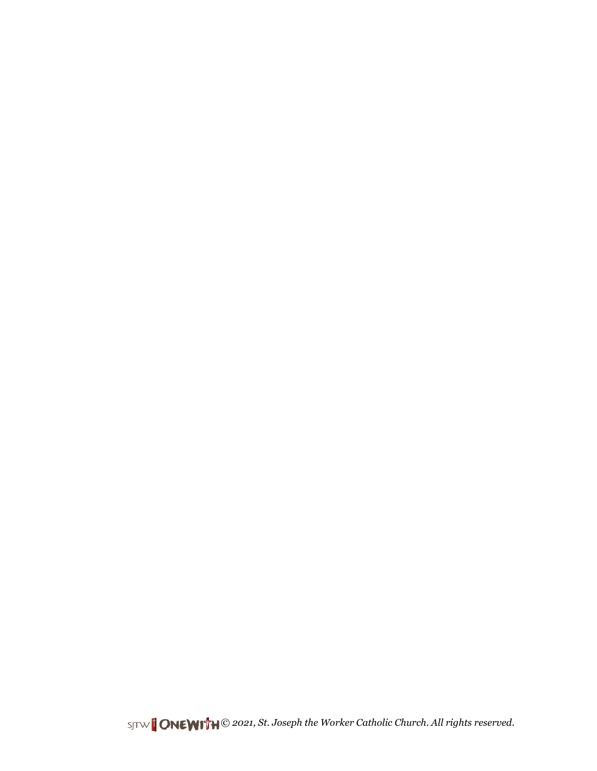*© 2021, St. Joseph the Worker Catholic Church. All rights reserved.*